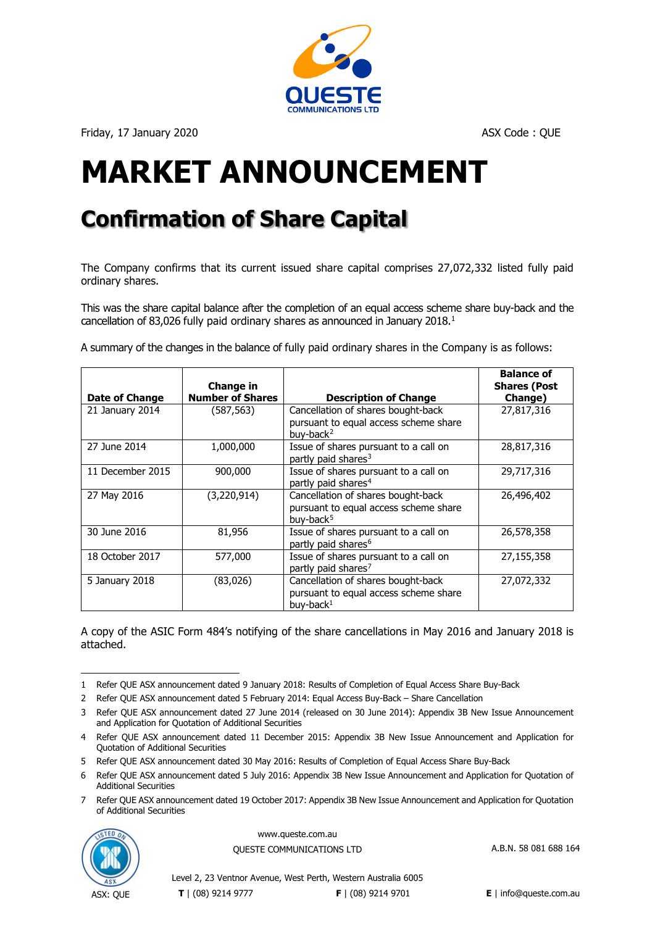

Friday, 17 January 2020 **ASX Code : QUE ASX Code : QUE** 

# **MARKET ANNOUNCEMENT**

# **Confirmation of Share Capital**

The Company confirms that its current issued share capital comprises 27,072,332 listed fully paid ordinary shares.

This was the share capital balance after the completion of an equal access scheme share buy-back and the cancellation of 83,026 fully paid ordinary shares as announced in January 20[1](#page-0-0)8.<sup>1</sup>

A summary of the changes in the balance of fully paid ordinary shares in the Company is as follows:

|                  | Change in               |                                                                                                      | <b>Balance of</b><br><b>Shares (Post</b> |
|------------------|-------------------------|------------------------------------------------------------------------------------------------------|------------------------------------------|
| Date of Change   | <b>Number of Shares</b> | <b>Description of Change</b>                                                                         | Change)                                  |
| 21 January 2014  | (587,563)               | Cancellation of shares bought-back<br>pursuant to equal access scheme share<br>buv-back $2$          | 27,817,316                               |
| 27 June 2014     | 1,000,000               | Issue of shares pursuant to a call on<br>partly paid shares <sup>3</sup>                             | 28,817,316                               |
| 11 December 2015 | 900,000                 | Issue of shares pursuant to a call on<br>partly paid shares <sup>4</sup>                             | 29,717,316                               |
| 27 May 2016      | (3,220,914)             | Cancellation of shares bought-back<br>pursuant to equal access scheme share<br>buv-back <sup>5</sup> | 26,496,402                               |
| 30 June 2016     | 81,956                  | Issue of shares pursuant to a call on<br>partly paid shares <sup>6</sup>                             | 26,578,358                               |
| 18 October 2017  | 577,000                 | Issue of shares pursuant to a call on<br>partly paid shares <sup>7</sup>                             | 27,155,358                               |
| 5 January 2018   | (83,026)                | Cancellation of shares bought-back<br>pursuant to equal access scheme share<br>buy-back <sup>1</sup> | 27,072,332                               |

A copy of the ASIC Form 484's notifying of the share cancellations in May 2016 and January 2018 is attached.

<span id="page-0-6"></span><span id="page-0-5"></span><sup>7</sup> Refer QUE ASX announcement date[d 19 October 2017: Appendix 3B New Issue Announcement and Application for Quotation](https://www.asx.com.au/asx/statistics/displayAnnouncement.do?display=pdf&idsId=01909950)  [of Additional Securities](https://www.asx.com.au/asx/statistics/displayAnnouncement.do?display=pdf&idsId=01909950)



www.queste.com.au OUESTE COMMUNICATIONS LTD A.B.N. 58 081 688 164

<span id="page-0-0"></span><sup>1</sup> Refer QUE ASX announcement dated [9 January 2018: Results of Completion of Equal Access Share Buy-Back](https://www.asx.com.au/asx/statistics/displayAnnouncement.do?display=pdf&idsId=01939889)

<span id="page-0-1"></span><sup>2</sup> Refer QUE ASX announcement dated [5 February 2014: Equal Access Buy-Back](https://www.asx.com.au/asx/statistics/displayAnnouncement.do?display=pdf&idsId=01489095) – Share Cancellation

<span id="page-0-2"></span><sup>3</sup> Refer QUE ASX announcement dated 27 June 2014 [\(released on 30 June 2014\): Appendix 3B New Issue Announcement](https://www.asx.com.au/asx/statistics/displayAnnouncement.do?display=pdf&idsId=01529366)  [and Application for Quotation of Additional Securities](https://www.asx.com.au/asx/statistics/displayAnnouncement.do?display=pdf&idsId=01529366)

<span id="page-0-3"></span><sup>4</sup> Refer QUE ASX announcement dated [11 December 2015: Appendix 3B New Issue Announcement and Application for](https://www.asx.com.au/asx/statistics/displayAnnouncement.do?display=pdf&idsId=01695570)  [Quotation of Additional Securities](https://www.asx.com.au/asx/statistics/displayAnnouncement.do?display=pdf&idsId=01695570)

<span id="page-0-4"></span><sup>5</sup> Refer QUE ASX announcement dated [30 May 2016: Results of Completion of Equal Access Share Buy-Back](https://www.asx.com.au/asx/statistics/displayAnnouncement.do?display=pdf&idsId=01744849)

<sup>6</sup> Refer QUE ASX announcement dated 5 July [2016: Appendix 3B New Issue Announcement and Application for Quotation of](https://www.asx.com.au/asxpdf/20160705/pdf/438ctkp6prvms6.pdf)  [Additional Securities](https://www.asx.com.au/asxpdf/20160705/pdf/438ctkp6prvms6.pdf)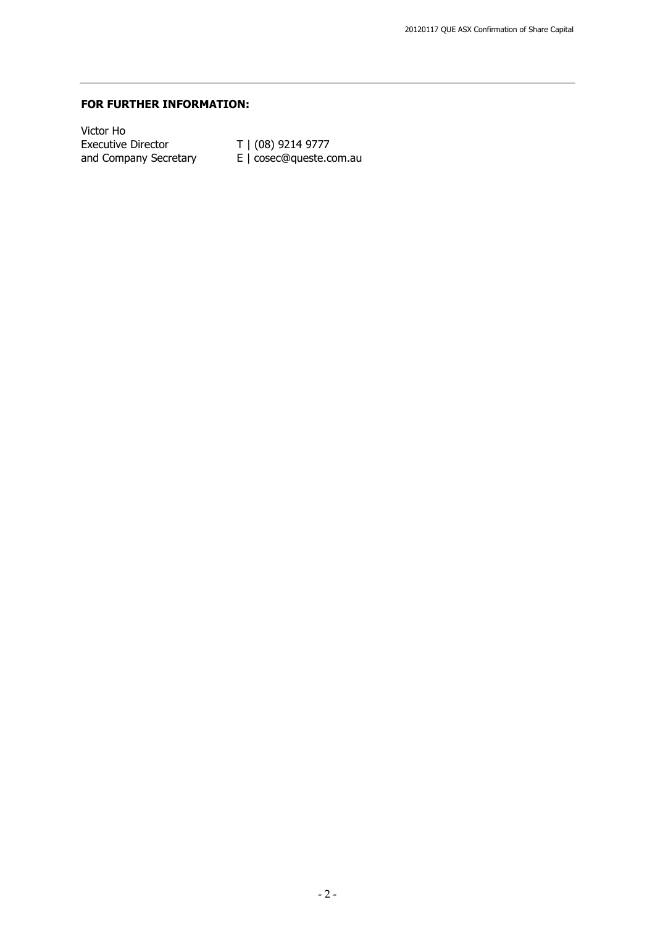#### **FOR FURTHER INFORMATION:**

Victor Ho Executive Director  $\vert$   $\vert$  (08) 9214 9777 and Company Secretary  $E \mid \text{cosec@queste.com.au}$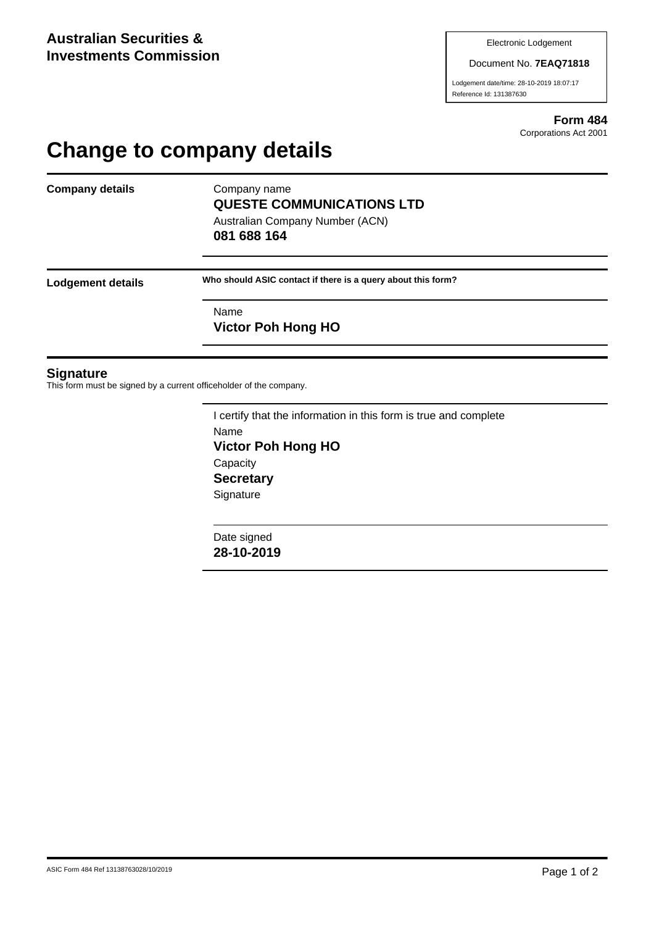#### Document No. **7EAQ71818**

Lodgement date/time: 28-10-2019 18:07:17 Reference Id: 131387630

> **Form 484** Corporations Act 2001

## **Change to company details**

**Company details** Company name

# **QUESTE COMMUNICATIONS LTD**

Australian Company Number (ACN) **081 688 164**

**Lodgement details Who should ASIC contact if there is a query about this form?**

Name **Victor Poh Hong HO**

#### **Signature**

This form must be signed by a current officeholder of the company.

I certify that the information in this form is true and complete Name **Victor Poh Hong HO Capacity Secretary Signature** 

Date signed **28-10-2019**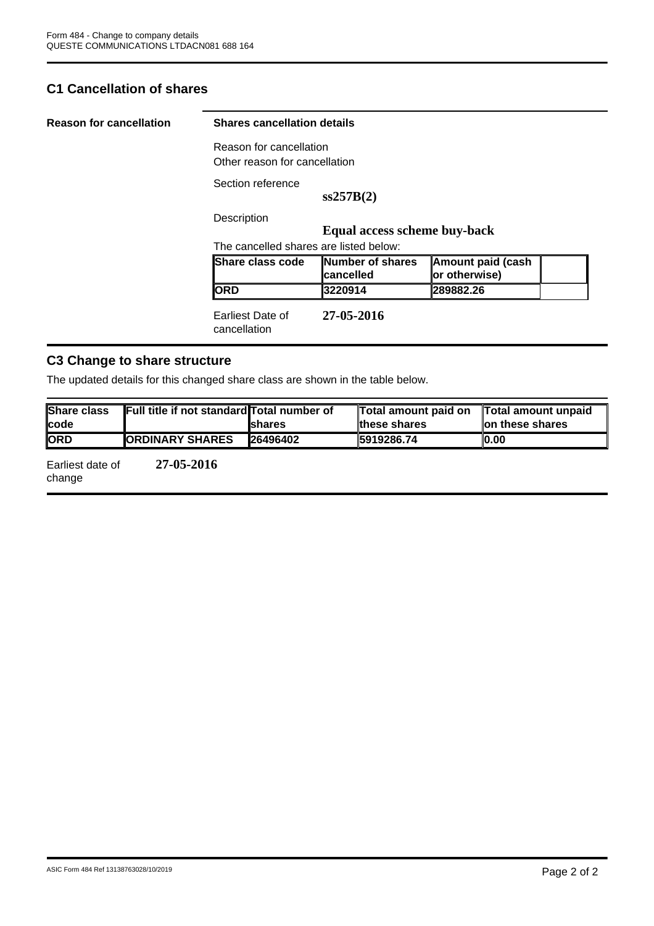### **C1 Cancellation of shares**

| <b>Reason for cancellation</b> | <b>Shares cancellation details</b>                       |                                |                                           |  |  |
|--------------------------------|----------------------------------------------------------|--------------------------------|-------------------------------------------|--|--|
|                                | Reason for cancellation<br>Other reason for cancellation |                                |                                           |  |  |
|                                | Section reference                                        |                                |                                           |  |  |
|                                |                                                          | ss257B(2)                      |                                           |  |  |
|                                | Description                                              |                                |                                           |  |  |
|                                | Equal access scheme buy-back                             |                                |                                           |  |  |
|                                | The cancelled shares are listed below:                   |                                |                                           |  |  |
|                                | <b>Share class code</b>                                  | Number of shares<br>lcancelled | <b>Amount paid (cash</b><br>or otherwise) |  |  |
|                                | <b>ORD</b>                                               | 3220914                        | 289882.26                                 |  |  |
|                                | Earliest Date of<br>cancellation                         | 27-05-2016                     |                                           |  |  |

### **C3 Change to share structure**

The updated details for this changed share class are shown in the table below.

| <b>Share class</b><br><b>Icode</b> | Full title if not standard Total number of | <b>Ishares</b> | Total amount paid on<br>these shares | Total amount unpaid<br>lon these shares |
|------------------------------------|--------------------------------------------|----------------|--------------------------------------|-----------------------------------------|
| <b>ORD</b>                         | <b>ORDINARY SHARES</b>                     | 26496402       | 5919286.74                           | IO.00                                   |
| <b>Earliest date of</b>            | 27-05-2016                                 |                |                                      |                                         |

Earliest date of change **27-05-2016**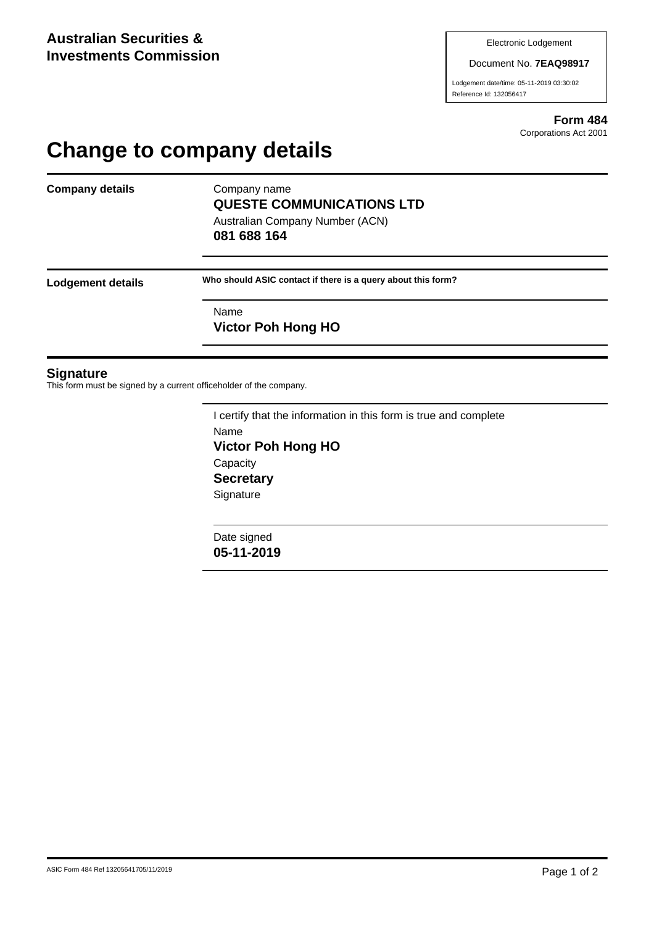#### Document No. **7EAQ98917**

Lodgement date/time: 05-11-2019 03:30:02 Reference Id: 132056417

> **Form 484** Corporations Act 2001

## **Change to company details**

**Company details** Company name

# **QUESTE COMMUNICATIONS LTD**

Australian Company Number (ACN) **081 688 164**

**Lodgement details Who should ASIC contact if there is a query about this form?**

Name **Victor Poh Hong HO**

#### **Signature**

This form must be signed by a current officeholder of the company.

I certify that the information in this form is true and complete Name **Victor Poh Hong HO Capacity Secretary Signature** 

Date signed **05-11-2019**